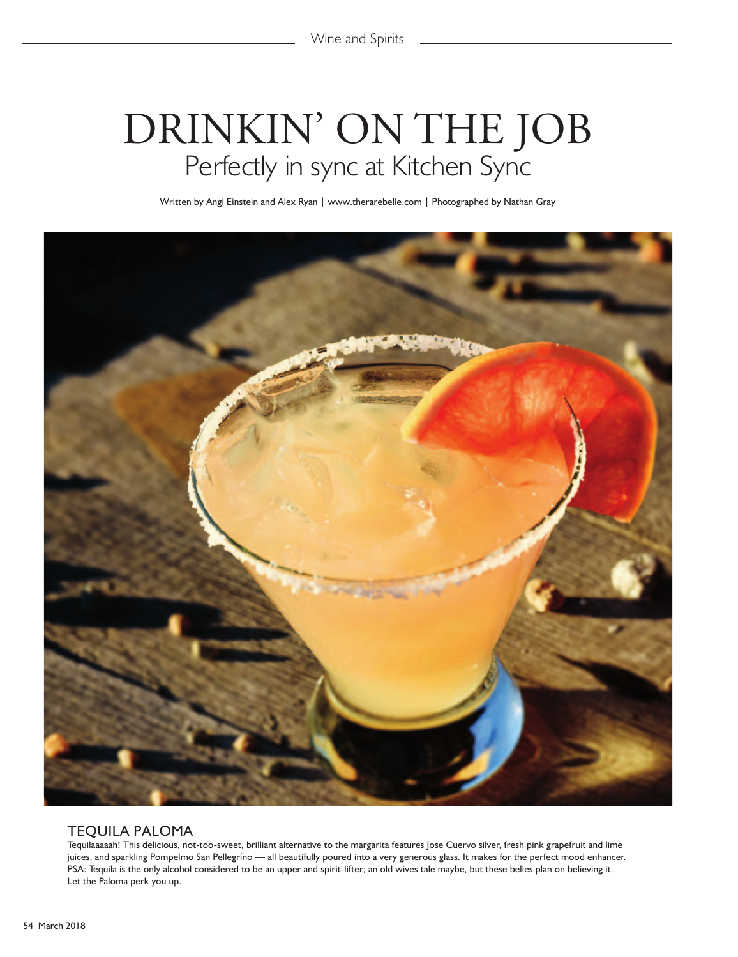# DRINKIN' ON THE JOB Perfectly in sync at Kitchen Sync

Written by Angi Einstein and Alex Ryan | www.therarebelle.com | Photographed by Nathan Gray



#### TEQUILA PALOMA

Tequilaaaaah! This delicious, not-too-sweet, brilliant alternative to the margarita features Jose Cuervo silver, fresh pink grapefruit and lime juices, and sparkling Pompelmo San Pellegríno — all beautifully poured into a very generous glass. It makes for the perfect mood enhancer. PSA: Tequila is the only alcohol considered to be an upper and spirit-lifter; an old wives tale maybe, but these belles plan on believing it. Let the Paloma perk you up.